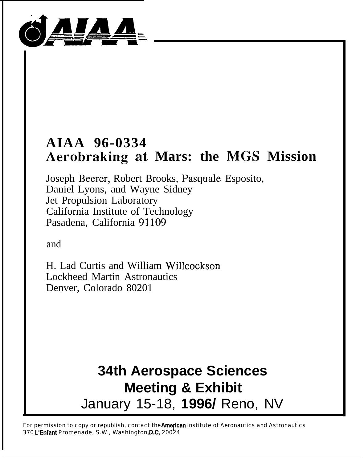

# **AIAA 96-0334 Aerobraking at Mars: the MGS Mission**

Joseph Beerer, Robert Brooks, Pasquale Esposito, Daniel Lyons, and Wayne Sidney Jet Propulsion Laboratory California Institute of Technology Pasadena, California 91109

and

H. Lad Curtis and William Willcockson Lockheed Martin Astronautics Denver, Colorado 80201

# **34th Aerospace Sciences Meeting & Exhibit** January 15-18, **1996/** Reno, NV

For permission to copy or republish, contact the American institute of Aeronautics and Astronautics 370 L'Enfant Promenade, S.W., Washington, D.C. 20024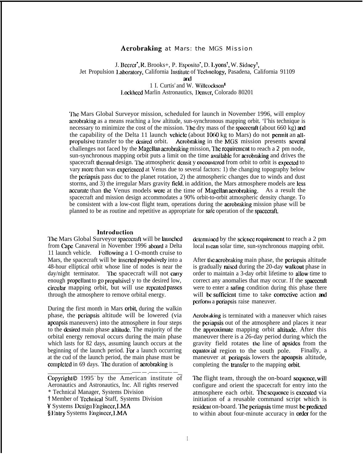# Acrobraking at Mars: the MGS Mission

J. Becrer<sup>\*</sup>, R. Brooks+, P. Esposito<sup>\*</sup>, D. Lyons<sup>†</sup>, W. Sidney<sup>†</sup>, Jet Propulsion Laboratory, California Institute of Technology, Pasadena, California 91109 ad 1 I. Curtis' and W. Willcockson<sup>5</sup>

Lockheed Marlin Astronautics, Denver, Colorado 80201

'Ihc Mars Global Surveyor mission, scheduled for launch in November 1996, will employ acrobraking as a means reaching a low altitude, sun-synchronous mapping orbit. 'I'his technique is necessary to minimize the cost of the mission. The dry mass of the spacecraft (about 660 kg) and the capability of the Delta 11 launch vehicle (about  $1060 \text{ kg}$  to Mars) do not permit an allpropulsive transfer to the desired orbit. Acrobraking in the MGS mission presents several challenges not faced by the Magcllan acrobraking mission, The requirement to reach a 2 pm node, sun-synchronous mapping orbit puts a limit on the time avaitablc for acrobraking and drives the spacecraft thermal design. The atmospheric density encountered from orbit to orbit is expected to vary more than was experienced at Venus due to several factors: 1) the changing topography below the pcriapsis pass duc to the planet rotation, 2) the atmospheric changes due to winds and dust storms, and 3) the irregular Mars gravity field. in addition, the Mars atmosphere models are less accurate than the Venus models were at the time of Magellan acrobraking. As a result the spacecraft and mission design accommodates a 90% orbit-to-orbit atmospheric density change. To be consistent with a low-cost flight team, operations during the acrobraking mission phase will be planned to be as routine and repetitive as appropriate for safe operation of the spacecraft.

#### **Introduction**

The Mars Global Surveyor spacecraft will be launched from Cape Canaveral in November 1996 aboard a Delta 11 launch vehicle. Following a 1 O-month cruise to Mars, the spacecraft will be inscrted propulsively into a 48-hour elliptical orbit whose line of nodes is near the day/night terminator. The spacecraft will not carry enough propellant to go propulsivel y to the desired low, circular mapping orbit, but will use repeated passes through the atmosphere to remove orbital energy.

During the first month in Mars orbit, during the walkin phase, the periapsis altitude will be lowered (via apoapsis maneuvers) into the atmosphere in four steps to the desired main phase altitude. The majority of the orbital energy removal occurs during the main phase which lasts for 82 days, assuming launch occurs at the beginning of the launch period. For a launch occurring at the cud of the launch period, the main phase must be completed in 69 days. The duration of acrobraking is

 $\frac{1}{\text{Copyright}^{\circ}} - \frac{1}{\text{7}} - \frac{1}{\text{7}} - \frac{1}{\text{8}} - \frac{1}{\text{8}}$ Aeronautics and Astronautics, Inc. All rights reserved \* Technical Manager, Systems Division t Member of l'cchnical Staff, Systems Division

Y Systems Design Engineer, LMA

 $$ E$ ntry Systems Linginccr, LMA

determined by the science requirement to reach a 2 pm local mean solar time, sun-synchronous mapping orbit.

After the acrobraking main phase, the periapsis altitude is gradually raised during the 20-day walkout phase in order to maintain a 3-day orbit lifetime to allow time to correct any anomalies that may occur. If the spacecraft were to enter a safing condition during this phase there will be sufficient time to take corrective action and perform a periapsis raise maneuver.

Acrobraking is terminated with a maneuver which raises the periapsis out of the atmosphere and places it near the approximate mapping orbit altitude. After this maneuver there is a 26-day period during which the gravity field rotates the line of apsides from the equatorial region to the south pole. Finally, a maneuver at periapsis lowers the apoapsis altitude, completing the transfer to the mapping orbit.

The flight team, through the on-board sequence, will configure and orient the spacecraft for entry into the atmosphere each orbit. Ihc scquencc is cxccutcd via initiation of a reusable command script which is resident on-board. The periapsis time must be predicted to within about four-minute accuracy in order for the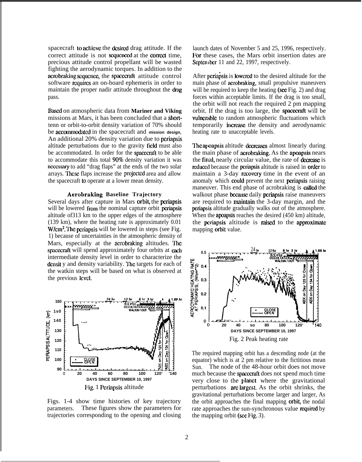spacecraft to achieve the desired drag attitude. If the correct attitude is not sequenced at the correct time. precious attitude control propellant will be wasted fighting the aerodynamic torques. In addition to the acrobraking sequence, the spacecraft attitude control software requires an on-board ephemeris in order to maintain the proper nadir attitude throughout the drag pass.

Based on atmospheric data from **Mariner and Viking** missions at Mars, it has been concluded that a shorttenn or orbit-to-orbit density variation of 70% should be acccxnmodalcd in the spacecraft and **mission design,** An additional 20% density variation due to periapsis altitude perturbations due to the gravity field must also be accommodated. In order for the spacecraft to be able to accommodate this total 90% density variation it was ncccssary to add "drag flaps" at the ends of the two solar arrays. These flaps increase the projected area and allow the spacecraft to operate at a lower mean density.

# **Aerobraking Baseline Trajectory**

Several days after capture in Mars orbit, the periapsis will be lowered from the nominal capture orbit periapsis altitude of313 km to the upper edges of the atmosphere (139 km), where the heating rate is approximately 0.01 W/cm<sup>2</sup>. The periapsis will be lowered in steps (see Fig. 1) because of uncertainties in the atmospheric density of Mars, especially at the acrobraking altitudes. The spacecraft will spend approximately four orbits at each intermediate density level in order to characterize the density variability. The targets for each of the watkin steps will be based on what is observed at the previous level.



Figs. 1-4 show time histories of key trajectory parameters. These figures show the parameters for trajectories corresponding to the opening and closing

launch dates of November 5 and 25, 1996, respectively. For these cases, the Mars orbit insertion dates are September 11 and 22, 1997, respectively.

After periapsis is lowered to the desired altitude for the main phase of aerobraking, small propulsive maneuvers will be required to keep the heating (see Fig. 2) and drag forces within acceptable limits. If the drag is too small, the orbit will not reach the required 2 pm mapping orbit. If the drag is too large, the spacemft will be vulnerable to random atmospheric fluctuations which temporarily increase the density and aerodynamic heating rate to unacceptable levels.

The apoapsis altitude decreases almost linearly during the main phase of aerobraking. As the apoapsis nears the **final**, nearly circular value, the rate of **decrease** is reduced because the periapsis altitude is raised in order to maintain a 3-day recovery time in the event of an anomaly which could prevent the next pcriapsis raising maneuver. This end phase of acrobraking is called the walkout phase because daily periapsis raise maneuvers are required to maintain the 3-day margin, and the pcriapsis altitude gradually walks out of the atmosphere. When the **apoapsis** reaches the desired  $(450 \text{ km})$  altitude, the periapsis altitude is raised to the approximate mapping orbit value.



The required mapping orbit has a descending node (at the equator) which is at 2 pm relative to the fictitious mean Sun. The node of the 48-hour orbit does not move much because the spacecraft does not spend much time very close to the planet where the gravitational perturbations are largest. As the orbit shrinks, the gravitational perturbations become larger and larger, As the orbit approaches the final mapping **orbit**, the nodal rate approaches the sun-synchronous value required by the mapping orbit (see Fig. 3).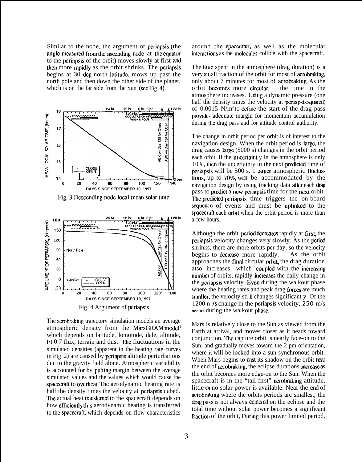Similar to the node, the argument of pcriapsis (the angle measured from the ascending node at the equator to the pcriapsis of the orbit) moves slowly at first and then more mpidly as the orbit shrinks. The periapsis begins at 30 dcg north latitude, mows up past the north pole and then down the other side of the planet, which is on the far side from the Sun (see Fig. 4).



lig. 3 Descending node local mean solar time



The acrobraking trajectory simulation models an average atmospheric density from the MarsGRAM model' which depends on latitude, longitude, dale, altitude,  $F10.7$  flux, terrain and dust. The fluctuations in the simulated densities (apparent in the heating rate curves in  $\text{Fig. 2}$ ) are caused by periapsis altitude perturbations duc to the gravity field alone. Atmospheric variability is accounted for by putting margin between the average simulated values and the values which would cause the spacecraft to overheat. The aerodynamic heating rate is half the density times the velocity at pcriapsis cubed. The actual heat transferred to the spacecraft depends on how efficiently this aerodynamic heating is transferred to the spacecraft, which depends on flow characteristics

around the spacecraft, as well as the molecular interactions as the molecules collide with the spacecraft.

The time spent in the atmosphere (drag duration) is a very small fraction of the orbit for most of acrobraking, only about 7 minutes for most of aerobraking. As the orbit becomes more circular, the time in the atmosphere increases. lJsing a dynamic pressure (one half the density times the velocity at **periapsis squared**) of  $0.0015$  N/m<sup>2</sup>to define the start of the drag pass provides adequate margin for momentum accumulation during the drag pass and for attitude control authority.

The change in orbit period per orbit is of interest to the navigation design. When the orbit period is large, the drag causes targc (5000 s) changes in the orbit period each orbit. If the uncertaint  $y$  in the atmosphere is only  $10\%$ , then the uncertainty in the next predicted time of periapsis will be 500 s. 1 arger atmospheric fluctuations, up to 70%, will be accommodated by the navigation design by using tracking data **after** each drag pass to predict a new periapsis time for the next orbit. The predicted periapsis time triggers the on-board sequence of events and must be uplinked to the spacecraft each orbit when the orbit period is more than a fcw hours.

Although the orbit period decreases rapidly at first, the pcriapsis velocity changes very slowly. As the period shrinks, there are more orbits per day, so the velocity begins to decrease more rapidly. As the orbit approaches the final circular orbit, the drag duration atso increases, which coupled with the increasing number of orbits, rapidly increases the daily change in the periapsis velocity. Even during the walkout phase where the heating rates and peak drag forces are much smaller, the velocity sti II changes significant y. Of the 1200 n  $\sqrt{s}$  change in the periapsis velocity, **250** m/s **occurs** during the walkout phase.

Mars is relatively close to the Sun as viewed from the Earth at arrival, and moves closer as it heads toward conjunction. I'hc capture orbit is nearly face-on to the Sun, and gradually moves toward the 2 pm orientation, where it will be locked into a sun-synchronous orbit. When Mars begins to cast its shadow on the orbit near the end of acrobraking, the eclipse durations increase as the orbit becomes more edge-on to the Sun. When the spacecraft is in the "tail-first" aembraking attitude, little or no solar power is available. Near the end of acrobraking where the orbits periods arc smallest, the drag pass is not always centered on the eclipse and the total time without solar power becomes a significant fraction of the orbit, During this power limited period,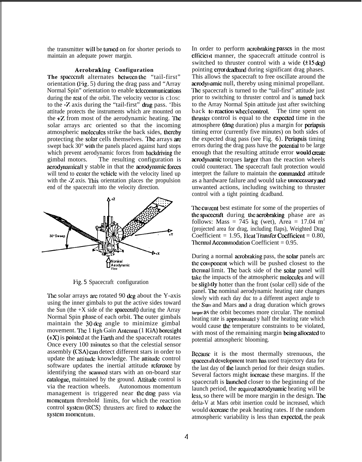the transmitter will be turned on for shorter periods to maintain an adequate power margin.

#### **Aerobraking Configuration**

The spacecraft alternates between the "tail-first" orientation (Fig. 5) during the drag pass and "Array Normal Spin" orientation to enable telecommunications during the rest of the orbit. The velocity vector is close to the -Z axis during the "tail-first" drag pass. 'Ibis attitude protects the instruments which are mounted on the +Z from most of the aerodynamic heating. 'he solar arrays arc oriented so that the incoming atmospheric molecules strike the back sides, thereby protecting the solar cells themselves. The arrays are swept back 30° with the panels placed against hard stops which prevent aerodynamic forces from backdriving the gimbal motors. The resulting configuration is acrodynamicall y stable in that the acrodynamic forces will tend to center the vehicle with the velocity lined up with the -Z axis. This orientation places the propulsion end of the spacecraft into the velocity direction.



l;ig. 5 Spacecraft configuration

The solar arrays are rotated 90 deg about the Y-axis using the inner gimbals to put the active sides toward the Sun (the  $+X$  side of the spacecraft) during the Array Normal Spin phase of each orbit. The outer gimbals maintain the 30 dcg angle to minimize gimbal movement. The 1 ligh Gain Antenna (1 IGA) boresight  $(+X)$  is pointed at the Farth and the spacecraft rotates Once every 100 minntcs so that the celestial sensor assembly (CSA) can detect different stars in order to update the attitude knowledge. The attitude control software updates the inertial attitude reference by identifying the **scmncd** stars with an on-board star catalogue, maintained by the ground. Attitude control is via the reaction wheels. Autonomous momentum management is triggered near the drag pass via momentum threshold limits, for which the reaction control system (RCS) thrusters arc fired to reduce the system momentum.

In order to perform acrobraking passes in the most efficient manner, the spacecraft attitude control is switched to thruster control with a wide  $(\pm 15 \text{ deg})$ pointing error deadband during significant drag phases. This allows the spacecraft to free oscillate around the acrodylumic null, thereby using minimal propellant. The spacecraft is turned to the "tail-first" attitude just prior to switching to thruster control and is turned back to the Array Normal Spin attitude just after switching back to reaction wheel control. The time spent on thruster control is equal to the expected time in the atmosphere (drag duration) plus a margin for pcriapsis timing error (currently five minutes) on both sides of the expected drag pass (see Fig.  $\epsilon$ ). Periapsis timing errors during the drag pass have the potentiat to be large enough that the resulting attitude error would create acrodynamic torques larger than the reaction wheels could counteract. The spacecraft fault protection would interpret the failure to maintain the commanded attitude as a hardware failure and would take unnecessary and unwanted actions, including switching to thruster control with a tight pointing dcadband.

The cui rent best estimate for some of the properties of **the spacecraft** during **the acrobraking** phase are as follows: Mass =  $745$  kg (wet), Area = 17.04 m<sup>2</sup> (projected area for drag, including flaps), Weighted Drag Coefficient =  $1.95$ , Heat Transfer Coefficient =  $0.80$ , Thermal Accommodation Coefficient  $= 0.95$ .

During a normal acrobraking pass, the sotar panels arc the component which will be pushed closest to the thermal limit. The back side of the solar panel will take the impacts of the atmospheric molecules and will be slightly hotter than the front (solar cell) side of the panel. Ihe nominal aerodynamic heating rate changes slowly with each day duc to a different aspect angle to the Sum and Mars and a drag duration which grows **larger** as the orbit becomes more circular. The nominal heating rate is approximatcl y half the heating rate which would cause the temperature constraints to be violated, with most of the remaining margin being allocated to potential atmospheric blooming.

Bccausc it is the most thermally strenuous, the spacecraft development team has used trajectory data for the last day of the launch period for their design studies. Several factors might increase these margins. If the spacecraft is Iaunchcd closer to the beginning of the launch period, the required acrodynamic heating will be lcss, so there will be more margin in the design. The delta-V at Mars orbit insertion could be increased, which would decrease the peak heating rates. If the random atmospheric variability is less than cxpcctcd, the peak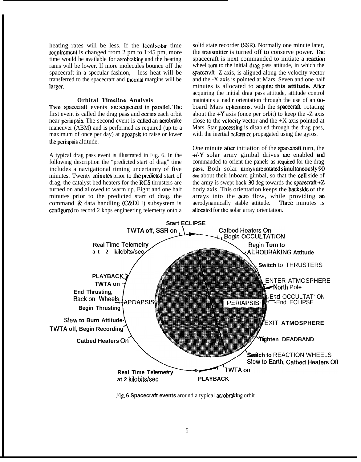heating rates will be less. If the local solar time requirement is changed from 2 pm to  $1:45$  pm, more time would be available for acrobraking and the heating rams will be lower. If more molecules bounce off the spacecraft in a specular fashion, less heat will be transferred to the spacecraft and thcrmat margins will be larger.

#### **Orbital Timeline Analysis**

Two spacecraft events are sequenced in parallel. The first event is called the drag pass and occurs each orbit near periapsis. The second event is called an acmbrake maneuver (ABM) and is performed as required (up to a maximum of once per day) at apoapsis to raise or lower the periapsis altitude.

A typical drag pass event is illustrated in Fig. 6. In the following description the "predicted start of drag" time includes a navigational timing uncertainty of five minutes. Twenty minutes prior to the predicted start of drag, the catalyst bed heaters for the RCS thrusters are turned on and allowed to warm up. Eight and one half minutes prior to the predicted start of drag, the command  $\&$  data handling (C&DI I) subsystem is configured to record 2 kbps engineering telemetry onto a solid state recorder (SSR). Normally one minute later, the transmitter is turned off to conserve power. The spacecraft is next commanded to initiate a readion wheel turn to the initial drag pass attitude, in which the spacecraft  $-Z$  axis, is aligned along the velocity vector and the -X axis is pointed at Mars. Seven and one half minutes is allocated to **acquire this attitude.** After acquiring the initial drag pass attitude, attitude control maintains a nadir orientation through the use of an onboard Mars ephemeris, with the spacecraft rotating about the  $+Y$  axis (once per orbit) to keep the  $-Z$  axis close to the velocity vector and the  $+X$  axis pointed at Mars. Star processing is disabled through the drag pass, with the inertial reference propagated using the gyros.

One minute after initiation of the spacecraft turn, the  $+/-Y$  solar army gimbal drives are enabled and commanded to orient the panels as required for the drag **pass.** Both solar **arrays** are **rotated simultaneously** 90 **deg** about their inboard gimbal, so that the cdl side of the army is swept back  $30$  deg towards the spacecraft  $+Z$ body axis. This orientation keeps the **backside** of the arrays into the acro flow, while providing an aerodynamically stable attitude. Three minutes is allocated for the solar array orientation.



l~ig. **6 Spacecraft events** around a typical aerobraking orbit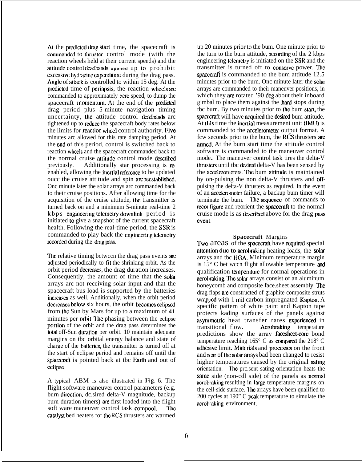At the predicted drag start time, the spacecraft is commanded to thruster control mode (with the reaction wheels held at their current speeds) and the atlitudc conlrol **dcadtmds opened** up to prohibit excessive hydrazine expenditure during the drag pass. Angle of attack is controlled to within 15 deg. At the predicted time of periapsis, the reaction wheels are commanded to approximately zero speed, to dump the spacecraft momentum. At the end of the predicted drag period plus 5-minute navigation timing uncertainty, the attitude control deadbands arc tightened up to rcducc the spacecraft body rates below the limits for reaction wheel control authority. Five minutes arc allowed for this rate damping period. At the end of this period, control is switched back to reaction wbecls and the spacecraft commanded back to the normal cruise attitude control mode described<br>previously. Additionally star processing is re-Additionally star processing is  $\mathbf{r}$ -Oenabled, allowing the incruise reference to be updated oucc the cruise attitude and spin arc rccstablishcd. Onc minute later the solar arrays arc commanded back to their cruise positions. After allowing time for the acquisition of the cruise attitude, the transmitter is turned back on and a minimum 5-minute real-time 2 kbps cngiuccring tclcmctry downlink period is initiated to give a snapshot of the current spacecraft health. Following the real-time period, the SSR is commanded to play back the engineering telemetry recorded during the drag pass.

The relative timing bctwccn the drag pass events are adjusted periodically to fit the shrinking orbit. As the orbit period dczrcascs, the drag duration increases. Consequently, the amount of time that the solar arrays arc not receiving solar input and that the spacecraft bus load is supported by the batteries increases as well. Additionally, when the orbit period decreases below six hours, the orbit becomes eclipsed from the Sun by Mars for up to a maximum of 41 minutes per orbit. The phasing between the eclipse portion of the orbit and the drag pass determines the total off-Sun duration per orbit. 10 maintain adequate margins on tbc orbital energy balance and state of charge of the batteries, the transmitter is turned off at the start of eclipse period and remains off until the spacecraft is pointed back at tbc Farth and out of cclipsc.

A typical ABM is also illustrated in I'ig. 6. The flight software maneuver control parameters (e.g. burn dircztion, dc.sired delta-V magnitude, backup burn duration timers) arc first loaded into the flight soft ware maneuver control task compool. The catalyst bed heaters for the RCS thrusters arc warmed

up 20 minutes prior to the bum. One minute prior to the turn to the burn attitude, recording of the  $2$  kbps engineering tclcmctry is initiated on the SSR and the transmitter is turned off to conserve power. The spacecraft is commanded to the bum attitude 12.5 minutes prior to the burn. Onc minute later the solar arrays are commanded to their maneuver positions, in which they are rotated '90 deg about their inboard gimbal to place them against the hard stops during the burn. By two minutes prior to the burn start, the spacecraft will have acquired the desired bum attitude. At this time the incrtial measurement unit (IMU) is commanded to the accelerometer output format. A fcw seconds prior to the bum, the RCS thrusters are anncd. At the burn start time the attitude control software is commanded to the maneuver control mode.. The maneuver control task tires the delta-V thrusters until tbc desired delta-V has been sensed by the accelerometers. The bum attitude is maintained by on-pulsing the non delta-V thrusters and offpulsing the delta-V thrusters as required. In the event of an accekromclcr failure, a backup bum timer will terminate the burn. The sequence of commands to reconfigure and reorient the spacecraft to the normal cruise mode is as dcscribcd above for the drag pass evcnl.

# **Spacecraft** Margins

Two areas of the spacecraft have required special attention **duc to** acrobraking heating loads, the solar arrays and the HGA. Minimum temperature margin is  $15^{\circ}$  C bet wccn flight allowable temperature and qualification temperature for normal operations in acrobraking. 'Jhc solar arrays consist of an aluminum honeycomb and composite face.sheet assembly. The drag flaps am constructed of graphite composite struts wrapped with 1 mil carbon impregnated Kapton. A specific pattern of white paint and Kapton tape protects kading surfaces of the panels against asymmetric heat transfer rates experienced in transitional flow. Acrobraking temperature predictions show the array facesheet-core bond temperature reaching  $165^{\circ}$  C as compared the 218 $^{\circ}$  C adhesive limit. Materials and processes on the front and rear of the solar arrays bad been changed to resist higher temperatures caused by the original safing orientation. 'Ihe prc.sent sating orientation heats the same side (non-cdl side) of the panels as normal acrobraking resulting in Iargc temperature margins on the cell-side surface. 'Jhc arrays have been qualified to 200 cycles at 190" C peak temperature to simulate the acrobraking environment,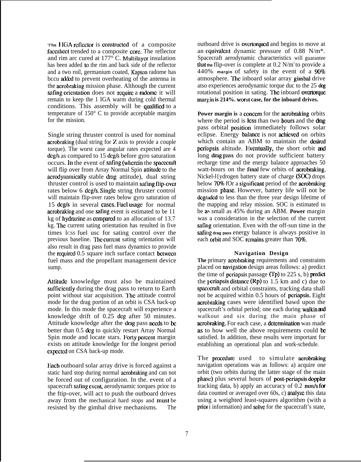**The HGA reflector is constructed** of a composite facesheet trended to a composite core. The reflector and rim arc cured at  $177^{\circ}$  C. Multilayer insulation has been added to the rim and back side of the reflector and a two roil, germanium coated, Kapton radome has bccu added to prevent overheating of the antenna in the acrobraking mission phase. Although the current safing orientation does not require a radome it will remain to keep the 1 IGA warm during cold thermal conditions. This assembly will be qualified to a temperature of 150° C to provide acceptable margins for the mission.

Single string thruster control is used for nominal acrobraking (dual string for Z axis to provide a couple torque). The worst case angular rates expected are 4 dcg/s as compared to 15 dcg/s before gyro saturation occurs. In the event of safing (wherein the spacecraft will flip over from Array Normal Spin attitude to the acrodynarnieally stable dmg attitude), dual string thruster control is used to maintain safing flip-over rates below 6 dcg/s. Single string thruster control will maintain flip-over rates below gyro saturation of 15 deg/s in several cases. Fuel usage for normal acrobraking and one safing event is estimated to be 11 kg of hydrazine as compared to an allocation of  $13.7$ kg. The current sating orientation has resulted in five times lCSS fuel usc for sating control over the previous baseline. The current sating orientation will also result in drag pass fuel mass dynamics to provide the required  $0.5$  square inch surface contact between fuel mass and the propellant management device sump.

Attitude knowledge must also be maintained sufficiently during the drag pass to return to Earth point without star acquisition. The attitude control mode for the drag portion of an orbit is CSA back-up mode. In this mode the spacecraft will experience a knowledge drift of 0.25 dcg after 50 minutes. Attitude knowledge after the drag pass needs to be better than 0.5 dcg to quickly restart Array Normal Spin mode and locate stars. Forty percent margin exists on attitude knowledge for the longest period cxpectcd on CSA back-up mode.

Fach outboard solar array drive is forced against a static hard stop during normal acrobraking and can not be forced out of configuration. In the. event of a spacecraft safing event, aerodynamic torques prior to the ftip-over, will act to push the outboard drives away from the mechanical hard stops and must be resisted by the gimbal drive mechanisms. The

outboard drive is overtoryucd and begins to move at an convalent dynamic pressure of  $0.88$  N/m<sup>\*</sup>. Spacecraft aerodynamic characteristics will guarantee that the flip-over is complete at  $0.2$  N/m<sup>2</sup> to provide a 440% margin of safety in the event of a 90% atmosphere. The inboard solar array gimbal drive atso experiences aerodynamic torque duc to the 25 dcg rotational position in sating. The inboard overtorque **margin is 214%. worst case, for the inboard drives.**

**Power margin is a concern for the acrobraking orbits** where the period is less than two hours and the  $\text{drag}$ pass orbital **position** immediately follows solar eclipse. Energy balance is not achieved on orbits which contain an ABM to maintain the desired periapsis altitude. Eventually, the short orbit and long drag pass do not provide sufficient battery recharge time and the energy balance approaches 50 watt-hours on the final few orbits of acrobraking. Nickel-l{ydrogen battery state of charge (SOC) drops below 70% fOr a significant period of the acrobraking mission phase. However, battery life will not be degraded to less than the three year design lifetime of the mapping and relay mission. SOC is estimated to be as small as 45% during an ABM. **Power** margin was a consideration in the selection of the current safing orientation. Even with the off-sun time in the safing drag pass energy balance is always positive in each orbit and SOC remains greater than 70%.

# **Navigation Design**

The primary acrobraking requirements and constraints placed on mvigation design areas follows: a) predict the time of periapsis passage (Tp) to  $225$  s, b) predict the periapsis distance  $(Rp)$  to 1.5 km and c) due to spacecraft and orbital constraints, tracking data shall not be acquired within 0.5 hours of pcriapsis. Eight acrobraking cases were identified bawd upon the spacecraft's orbital period; one each during walkin and walkout and six during the main phase of aerobraking. For each case, a determination was made as to how well the above requirements could be satisfied. In addition, these results were important for establishing an operational plan and work-schedule.

The procedure used to simulate acrobraking navigation operations was as follows: a) acquire one orbit (two orbits during the latter stage of the main phase) plus several hours of post-periapsis doppler tracking data, b) apply an accuracy of  $0.2 \text{ mm/s}$  for data counted or averaged over  $60s$ , c) analyze this data using a weighted least-squares algorithm (with a priot i information) and solve for the spacecraft's state,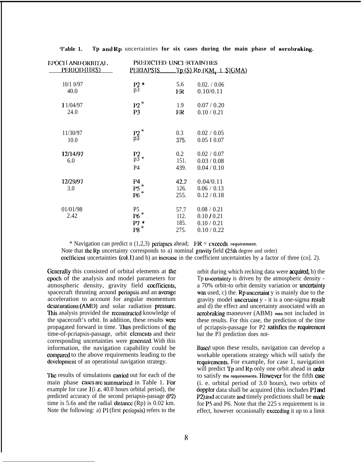| EPOCH AND ORBITAL,<br><u>PERIOD (HRS)</u><br>10/1 0/97 | PREDICTED UNCLETAINTIES               |         |                         |
|--------------------------------------------------------|---------------------------------------|---------|-------------------------|
|                                                        | <b>PERIAPSIS</b>                      |         | Tp (S) Rp (KM, 1 SIGMA) |
|                                                        | $_{p3}^{P2*}$                         | 5.6     | 0.02. / 0.06            |
| 40.0                                                   |                                       | ER      | 0.10/0.11               |
| 1 1/04/97                                              | $P2*$                                 | 1.9     | 0.07 / 0.20             |
| 24.0                                                   | P <sub>3</sub>                        | ER      | 0.10 / 0.21             |
| 11/30/97                                               | $\mathop{{\rm P2}}\limits_{\rm p3}^*$ | 0.3     | 0.02 / 0.05             |
| 10.0                                                   |                                       | 375.    | $0.05$ I $0.07$         |
| 12/14/97                                               | $P_2$ *                               | $0.2\,$ | 0.02 / 0.07             |
| 6.0                                                    |                                       | 151.    | 0.03 / 0.08             |
|                                                        | P4                                    | 439.    | 0.04 / 0.10             |
| 12/29/97                                               | <b>P4</b>                             | 42.2    | 0.04/0.11               |
| 3.0                                                    | $P5*$                                 | 126.    | 0.06 / 0.13             |
|                                                        | $P6*$                                 | 255.    | 0.12 / 0.18             |
| 01/01/98                                               | P <sub>5</sub>                        | 57.7    | 0.08 / 0.21             |
| 2.42                                                   | $P6*$                                 | 112.    | 0.10 / 0.21             |
|                                                        | $P7*$                                 | 185.    | 0.10 / 0.21             |
|                                                        | $\mathrm{P8}$ $^*$                    | 275.    | 0.10 / 0.22             |

**'l'able 1. Tp and Rp** uncertainties **for six cases during the main phase of aerobraking,**

\* Navigation can predict n (1,2,3) pcriapscs ahead; ER = **cxceds requirement.** Note that the Rp uncertainty corresponds to a) nominal gravity field  $(25th$  degree and order) coefficient uncertainties (col. 1) and b) an increase in the coefficient uncertainties by a factor of three (co]. 2).

Generally this consisted of orbital elements at the cpoeh of the analysis and model parameters for atmospheric density, gravity field coefficients, spacecraft thrusting around periapsis and an average acceleration to account for angular momentum  $desaturation (AMI)$  and solar radiation pressure. This analysis provided the reconstructed knowledge of the spacecraft's orbit. In addition, these results wem propagated forward in time. 'lhus predictions of the time-of-pcriapsis-passage, orbit elements and their corresponding uncertainties were generated. With this information, the navigation capability could be compared to the above requirements leading to the development of an operational navigation strategy.

**The** results of simulations cannot out for each of the main phase cases are summarized in Table 1. For example for case  $1(i.e. 40.0$  hours orbital period), the predicted accuracy of the second periapsis-passage (W) time is 5.6s and the radial distance  $(Rp)$  is 0.02 km. Note the following: a)  $P1$  (first periapsis) refers to the

orbit during which recking data were **acquired**, b) the To uncertainty is driven by the atmospheric density a 70% orbit-to orbit density variation or uncertainty was used, c) the. Rp uncertaint  $y$  is mainly due to the gravity model uncertaint y - it is a one-sigma result and d) the effect and uncertainty associated with an acrobraking maneuver (ABM) **was** not included in these results. For this case, the prediction of the time of pcriapsis-passage for P2 satisfies the requirement but the P3 prediction does not-

Based upon these results, navigation can develop a workable operations strategy which will satisfy the requirements. For example, for case 1, navigation will predict  $T_p$  and  $R_p$  only one orbit ahead in order to satisfy the requirements. However for the fifth case (i. e. orbital period of 3.0 hours), two orbits of doppler data shall be acquired (this includes P1 and P2) and accurate and timely predictions shall be made for P5 and P6. Note that the 225 s requirement is in effect, however occasionally exeecding it up to a limit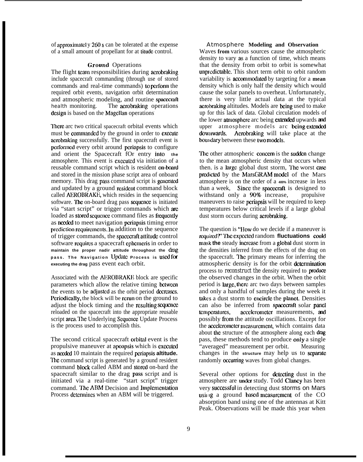of appmximalcl y 260s can be tolerated at the expense of a small amount of propellant for at tilude control.

### Ground Operations

The flight team responsibilities during acrobraking include spacecraft commanding (through use of stored commands and real-time commands) to pcrfonn the required orbit events, navigation orbit determination and atmospheric modeling, and routine spacecraft health monitoring. The acrobraking operations design is based on the Magellan operations<sup>.</sup>

There arc two critical spacecraft orbital events which must be commanded by the ground in order to execute acrobraking successfully. The first spacecraft event is pcrfonned every orbit around periapsis to configure and orient the Spacecraft fOr entry into the atmosphere. This event is cxccutcd via initiation of a reusable command script which is resident on-board and stored in the mission phase script area of onboard memory. This drag pass command script is generated and updated by a ground resident command block called AEROBRAKE, which resides in the sequencing software. The on-board drag pass sequence is initiated via "start script" or trigger commands which am loaded as stored sequence command files as frequently as nccdcd to meet navigation periapsis timing error prediction requirements. In addition to the sequence of trigger commands, the spacecraft attitude control software requires a spacecraft ephemeris in order to **maintain the proper nadir attitude throughout the dmg pass. The Navigation Update Process is u.scd fcr executing the drag** pass event each orbit.

Associated with the AEROBRAKE block are specific parameters which allow the relative timing bctween the events to be adjusted as the orbit period decreases. Periodically, the block will be rerun on the ground to adjust the block timing and the resulting sequence reloaded on the spacecraft into the appropriate reusable script area. The Underlying Sequence Update Process is the process used to accomplish this.

The second critical spacecraft orbitat event is the propulsive maneuver at apoapsis which is executed as needed 10 maintain the required periapsis **altitude.** The command script is generated by a ground resident command block called ABM and stored on-bard the spacecraft similar to the drag pass script and is initiated via a real-time "start script" trigger command. The ABM Decision and Implementation Process determines when an ABM will be triggered.

#### Atmosphere **Modeling and Observation**

Waves **from** various sources cause the atmospheric density to vary as a function of time, which means that the density from orbit to orbit is somewhat unpredictable. This short term orbit to orbit random variability is accommodated by targeting for a mean density which is only half the density which would cause the solar panels to overheat. Unfortunately, there is very little actual data at the typical aerobraking altitudes. Models are being used to make up for this lack of data. Global circulation models of the lower atmosphere arc being extended upwards and upper atmosphere models arc being extended downwards. Acrobraking will take place at the boundary between these two models.

The other atmospheric concern is the sudden change to the mean atmospheric density that occurs when then. is a large global dust storm, The worst case predicted by the MarsGRAM model of the Mars atmosphere is on the order of a **400%** increase in less than a week, Since the spacecraft is designed to withstand only a 90% increase, propulsive maneuvers to raise periapsis will be required to keep temperatures below critical levels if a large global dust storm occurs during acrobraking.

The question is "How do we decide if a maneuver is required?' The expected random **fluctuations** could mask the steady increase from a global dust storm in the densities inferred from the effects of the drag on the spacecraft. 'lhc primary means for inferring the atmospheric density is for the orbit determination process to *reconstruct the* density required to **produce** the observed changes in the orbit. When the orbit period is large, there arc two days between samples and only a handful of samples during the week it takes a dust storm to encircle the planet. Densities can also be inferred from spacecraft solar panel<br>temperatures, accelerometer measurements, and possibly from the attitude oscillations. Except for the accelerometer measurement, which contains data about the structure of the atmosphere along each drag pass, these methods tend to produce only a single "averaged" measurement per orbit. Measuring changes in the structure may help us to separate randomly **occurring** waves from global changes.

Several other options for detecting dust in the atmosphere are under study. Todd Clancy has been very successful in detecting dust storms on Mars using a ground based measurement of the CO absorption band using one of the antennas at Kitt Peak. Observations will be made this year when